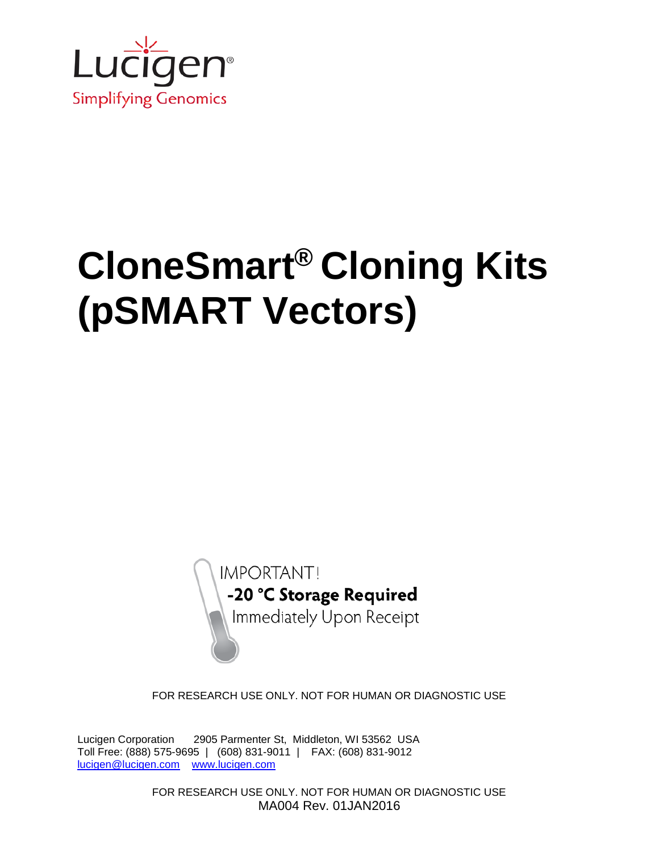

# **CloneSmart® Cloning Kits (pSMART Vectors)**

**IMPORTANT!** -20 °C Storage Required Immediately Upon Receipt

FOR RESEARCH USE ONLY. NOT FOR HUMAN OR DIAGNOSTIC USE

Lucigen Corporation 2905 Parmenter St, Middleton, WI 53562 USA Toll Free: (888) 575-9695 | (608) 831-9011 | FAX: (608) 831-9012 [lucigen@lucigen.com](mailto:lucigen@lucigen.com) [www.lucigen.com](http://www.lucigen.com/)

> FOR RESEARCH USE ONLY. NOT FOR HUMAN OR DIAGNOSTIC USE MA004 Rev. 01JAN2016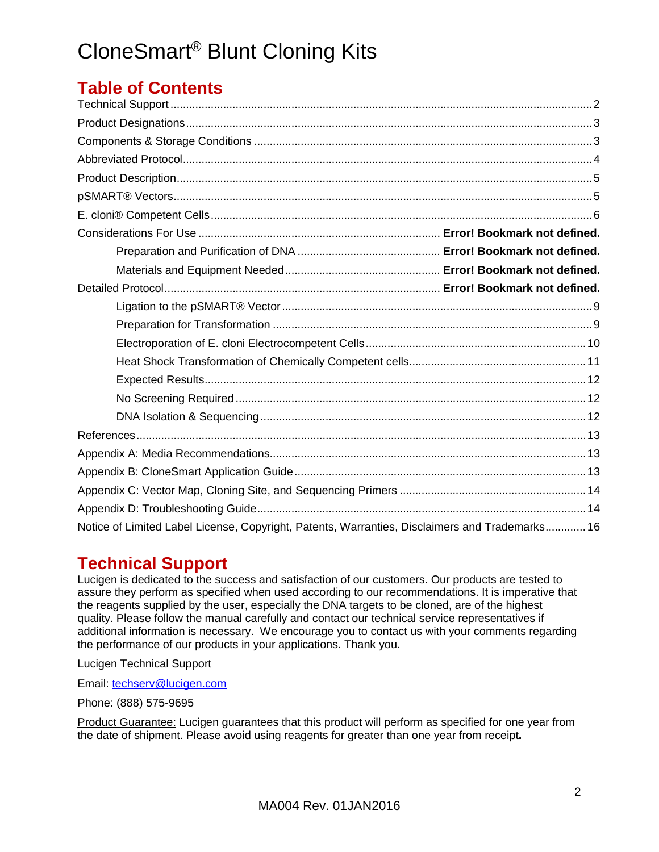## **Table of Contents**

| Notice of Limited Label License, Copyright, Patents, Warranties, Disclaimers and Trademarks 16 |  |
|------------------------------------------------------------------------------------------------|--|

## <span id="page-1-0"></span>**Technical Support**

Lucigen is dedicated to the success and satisfaction of our customers. Our products are tested to assure they perform as specified when used according to our recommendations. It is imperative that the reagents supplied by the user, especially the DNA targets to be cloned, are of the highest quality. Please follow the manual carefully and contact our technical service representatives if additional information is necessary. We encourage you to contact us with your comments regarding the performance of our products in your applications. Thank you.

Lucigen Technical Support

Email: [techserv@lucigen.com](mailto:techserv@lucigen.com)

Phone: (888) 575-9695

Product Guarantee: Lucigen guarantees that this product will perform as specified for one year from the date of shipment. Please avoid using reagents for greater than one year from receipt**.**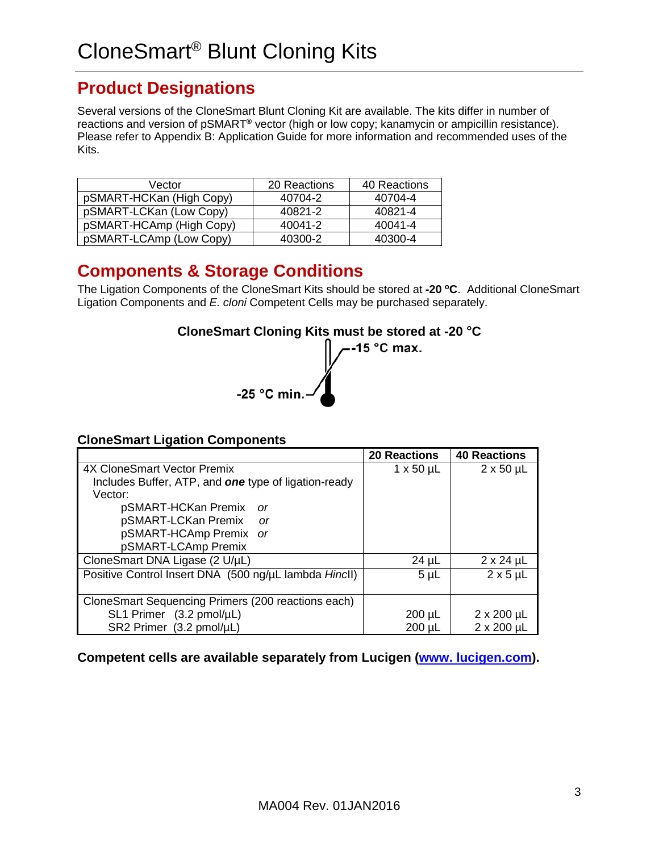## <span id="page-2-0"></span>**Product Designations**

Several versions of the CloneSmart Blunt Cloning Kit are available. The kits differ in number of reactions and version of pSMART**®** vector (high or low copy; kanamycin or ampicillin resistance). Please refer to Appendix B: Application Guide for more information and recommended uses of the Kits.

| Vector                   | 20 Reactions | 40 Reactions |
|--------------------------|--------------|--------------|
| pSMART-HCKan (High Copy) | 40704-2      | 40704-4      |
| pSMART-LCKan (Low Copy)  | 40821-2      | 40821-4      |
| pSMART-HCAmp (High Copy) | 40041-2      | 40041-4      |
| pSMART-LCAmp (Low Copy)  | 40300-2      | 40300-4      |

## <span id="page-2-1"></span>**Components & Storage Conditions**

The Ligation Components of the CloneSmart Kits should be stored at **-20 oC**.Additional CloneSmart Ligation Components and *E. cloni* Competent Cells may be purchased separately.

## **CloneSmart Cloning Kits must be stored at -20** °**C**



#### **CloneSmart Ligation Components**

|                                                             | <b>20 Reactions</b> | <b>40 Reactions</b>  |
|-------------------------------------------------------------|---------------------|----------------------|
| <b>4X CloneSmart Vector Premix</b>                          | $1 \times 50 \mu L$ | $2 \times 50 \mu L$  |
| Includes Buffer, ATP, and <b>one</b> type of ligation-ready |                     |                      |
| Vector:                                                     |                     |                      |
| pSMART-HCKan Premix<br>0r                                   |                     |                      |
| pSMART-LCKan Premix<br>- or                                 |                     |                      |
| pSMART-HCAmp Premix or                                      |                     |                      |
| pSMART-LCAmp Premix                                         |                     |                      |
| CloneSmart DNA Ligase (2 U/µL)                              | $24 \mu L$          | $2 \times 24$ µL     |
| Positive Control Insert DNA (500 ng/µL lambda Hincll)       | $5 \mu L$           | $2 \times 5 \mu L$   |
|                                                             |                     |                      |
| CloneSmart Sequencing Primers (200 reactions each)          |                     |                      |
| $SL1$ Primer $(3.2 \text{ pmol}/\mu L)$                     | $200 \mu L$         | $2 \times 200 \mu L$ |
| SR2 Primer (3.2 pmol/µL)                                    | $200 \mu L$         | $2 \times 200$ µL    |

**Competent cells are available separately from Lucigen [\(www. lucigen.com\)](http://www.lucigen.com/).**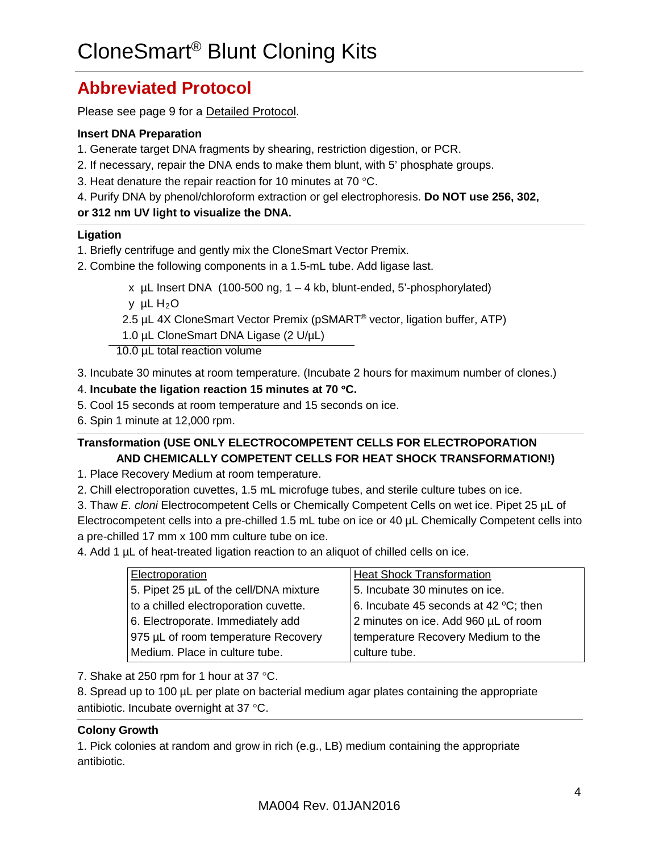## <span id="page-3-0"></span>**Abbreviated Protocol**

Please see page 9 for a Detailed Protocol.

#### **Insert DNA Preparation**

- 1. Generate target DNA fragments by shearing, restriction digestion, or PCR.
- 2. If necessary, repair the DNA ends to make them blunt, with 5' phosphate groups.
- 3. Heat denature the repair reaction for 10 minutes at 70 °C.
- 4. Purify DNA by phenol/chloroform extraction or gel electrophoresis. **Do NOT use 256, 302,**

#### **or 312 nm UV light to visualize the DNA.**

#### **Ligation**

- 1. Briefly centrifuge and gently mix the CloneSmart Vector Premix.
- 2. Combine the following components in a 1.5-mL tube. Add ligase last.

x  $\mu$ L Insert DNA (100-500 ng, 1 – 4 kb, blunt-ended, 5'-phosphorylated) y  $\mu$ L H<sub>2</sub>O

2.5 µL 4X CloneSmart Vector Premix (pSMART<sup>®</sup> vector, ligation buffer, ATP)

1.0 µL CloneSmart DNA Ligase (2 U/µL)

10.0 µL total reaction volume

3. Incubate 30 minutes at room temperature. (Incubate 2 hours for maximum number of clones.)

#### 4. **Incubate the ligation reaction 15 minutes at 70** °**C.**

- 5. Cool 15 seconds at room temperature and 15 seconds on ice.
- 6. Spin 1 minute at 12,000 rpm.

#### **Transformation (USE ONLY ELECTROCOMPETENT CELLS FOR ELECTROPORATION AND CHEMICALLY COMPETENT CELLS FOR HEAT SHOCK TRANSFORMATION!)**

1. Place Recovery Medium at room temperature.

2. Chill electroporation cuvettes, 1.5 mL microfuge tubes, and sterile culture tubes on ice.

3. Thaw *E. cloni* Electrocompetent Cells or Chemically Competent Cells on wet ice. Pipet 25 µL of Electrocompetent cells into a pre-chilled 1.5 mL tube on ice or 40 µL Chemically Competent cells into a pre-chilled 17 mm x 100 mm culture tube on ice.

4. Add 1 µL of heat-treated ligation reaction to an aliquot of chilled cells on ice.

| Electroporation                        | <b>Heat Shock Transformation</b>      |
|----------------------------------------|---------------------------------------|
| 5. Pipet 25 µL of the cell/DNA mixture | 5. Incubate 30 minutes on ice.        |
| to a chilled electroporation cuvette.  | 6. Incubate 45 seconds at 42 °C; then |
| 6. Electroporate. Immediately add      | 2 minutes on ice. Add 960 µL of room  |
| 975 µL of room temperature Recovery    | temperature Recovery Medium to the    |
| Medium. Place in culture tube.         | culture tube.                         |

7. Shake at 250 rpm for 1 hour at 37 °C.

8. Spread up to 100 µL per plate on bacterial medium agar plates containing the appropriate antibiotic. Incubate overnight at 37 °C.

#### **Colony Growth**

1. Pick colonies at random and grow in rich (e.g., LB) medium containing the appropriate antibiotic.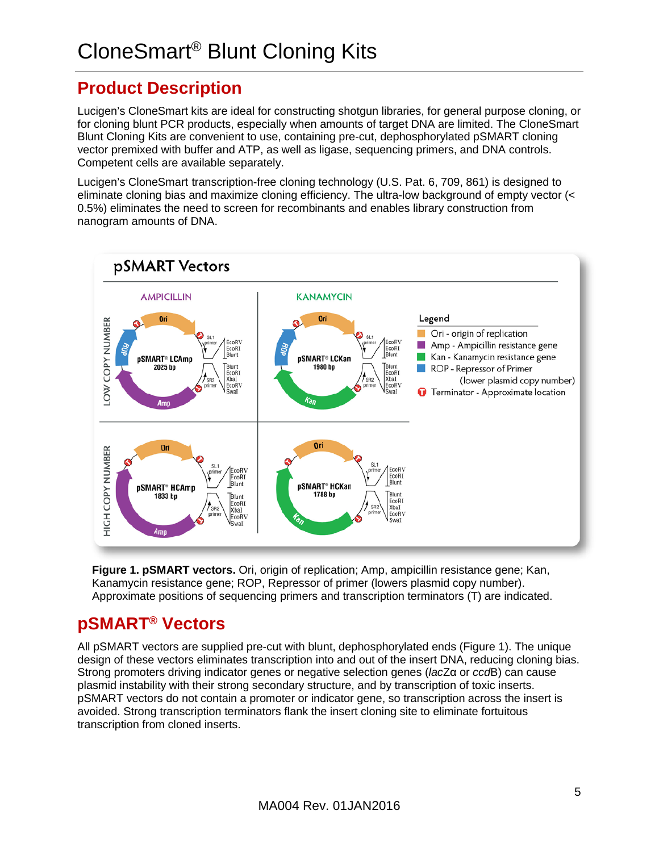## <span id="page-4-0"></span>**Product Description**

Lucigen's CloneSmart kits are ideal for constructing shotgun libraries, for general purpose cloning, or for cloning blunt PCR products, especially when amounts of target DNA are limited. The CloneSmart Blunt Cloning Kits are convenient to use, containing pre-cut, dephosphorylated pSMART cloning vector premixed with buffer and ATP, as well as ligase, sequencing primers, and DNA controls. Competent cells are available separately.

Lucigen's CloneSmart transcription-free cloning technology (U.S. Pat. 6, 709, 861) is designed to eliminate cloning bias and maximize cloning efficiency. The ultra-low background of empty vector (< 0.5%) eliminates the need to screen for recombinants and enables library construction from nanogram amounts of DNA.



**Figure 1. pSMART vectors.** Ori, origin of replication; Amp, ampicillin resistance gene; Kan, Kanamycin resistance gene; ROP, Repressor of primer (lowers plasmid copy number). Approximate positions of sequencing primers and transcription terminators (T) are indicated.

## <span id="page-4-1"></span>**pSMART® Vectors**

All pSMART vectors are supplied pre-cut with blunt, dephosphorylated ends (Figure 1). The unique design of these vectors eliminates transcription into and out of the insert DNA, reducing cloning bias. Strong promoters driving indicator genes or negative selection genes (*lac*Zα or *ccd*B) can cause plasmid instability with their strong secondary structure, and by transcription of toxic inserts. pSMART vectors do not contain a promoter or indicator gene, so transcription across the insert is avoided. Strong transcription terminators flank the insert cloning site to eliminate fortuitous transcription from cloned inserts.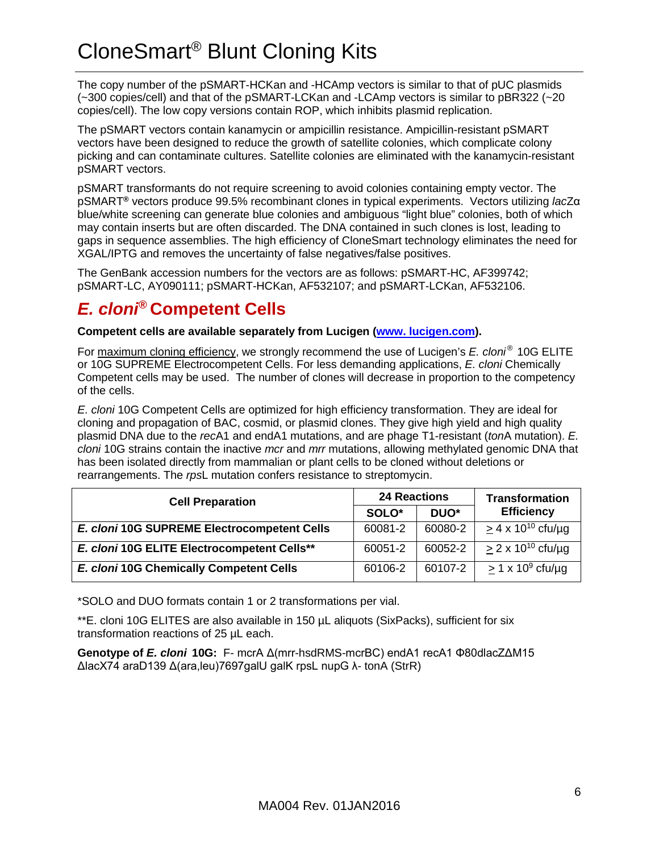# CloneSmart® Blunt Cloning Kits

The copy number of the pSMART-HCKan and -HCAmp vectors is similar to that of pUC plasmids (~300 copies/cell) and that of the pSMART-LCKan and -LCAmp vectors is similar to pBR322 (~20 copies/cell). The low copy versions contain ROP, which inhibits plasmid replication.

The pSMART vectors contain kanamycin or ampicillin resistance. Ampicillin-resistant pSMART vectors have been designed to reduce the growth of satellite colonies, which complicate colony picking and can contaminate cultures. Satellite colonies are eliminated with the kanamycin-resistant pSMART vectors.

pSMART transformants do not require screening to avoid colonies containing empty vector. The pSMART**®** vectors produce 99.5% recombinant clones in typical experiments. Vectors utilizing *lac*Zα blue/white screening can generate blue colonies and ambiguous "light blue" colonies, both of which may contain inserts but are often discarded. The DNA contained in such clones is lost, leading to gaps in sequence assemblies. The high efficiency of CloneSmart technology eliminates the need for XGAL/IPTG and removes the uncertainty of false negatives/false positives.

The GenBank accession numbers for the vectors are as follows: pSMART-HC, AF399742; pSMART-LC, AY090111; pSMART-HCKan, AF532107; and pSMART-LCKan, AF532106.

## <span id="page-5-0"></span>*E. cloni®* **Competent Cells**

**Competent cells are available separately from Lucigen [\(www. lucigen.com\)](http://www.lucigen.com/).**

For maximum cloning efficiency, we strongly recommend the use of Lucigen's *E. cloni ®* 10G ELITE or 10G SUPREME Electrocompetent Cells. For less demanding applications, *E. cloni* Chemically Competent cells may be used. The number of clones will decrease in proportion to the competency of the cells.

*E. cloni* 10G Competent Cells are optimized for high efficiency transformation. They are ideal for cloning and propagation of BAC, cosmid, or plasmid clones. They give high yield and high quality plasmid DNA due to the *rec*A1 and endA1 mutations, and are phage T1-resistant (*ton*A mutation). *E. cloni* 10G strains contain the inactive *mcr* and *mrr* mutations, allowing methylated genomic DNA that has been isolated directly from mammalian or plant cells to be cloned without deletions or rearrangements. The *rps*L mutation confers resistance to streptomycin.

| <b>Cell Preparation</b>                     | <b>24 Reactions</b> |                  | <b>Transformation</b>       |  |
|---------------------------------------------|---------------------|------------------|-----------------------------|--|
|                                             | SOLO <sup>*</sup>   | DUO <sup>*</sup> | <b>Efficiency</b>           |  |
| E. cloni 10G SUPREME Electrocompetent Cells | 60081-2             | 60080-2          | $> 4 \times 10^{10}$ cfu/ug |  |
| E. cloni 10G ELITE Electrocompetent Cells** | 60051-2             | 60052-2          | $> 2 \times 10^{10}$ cfu/ug |  |
| E. cloni 10G Chemically Competent Cells     | 60106-2             | 60107-2          | $> 1 \times 10^9$ cfu/ug    |  |

\*SOLO and DUO formats contain 1 or 2 transformations per vial.

\*\*E. cloni 10G ELITES are also available in 150 µL aliquots (SixPacks), sufficient for six transformation reactions of 25 µL each.

**Genotype of** *E. cloni* **10G:** F- mcrA Δ(mrr-hsdRMS-mcrBC) endA1 recA1 Φ80dlacZΔM15 ΔlacX74 araD139 Δ(ara,leu)7697galU galK rpsL nupG λ- tonA (StrR)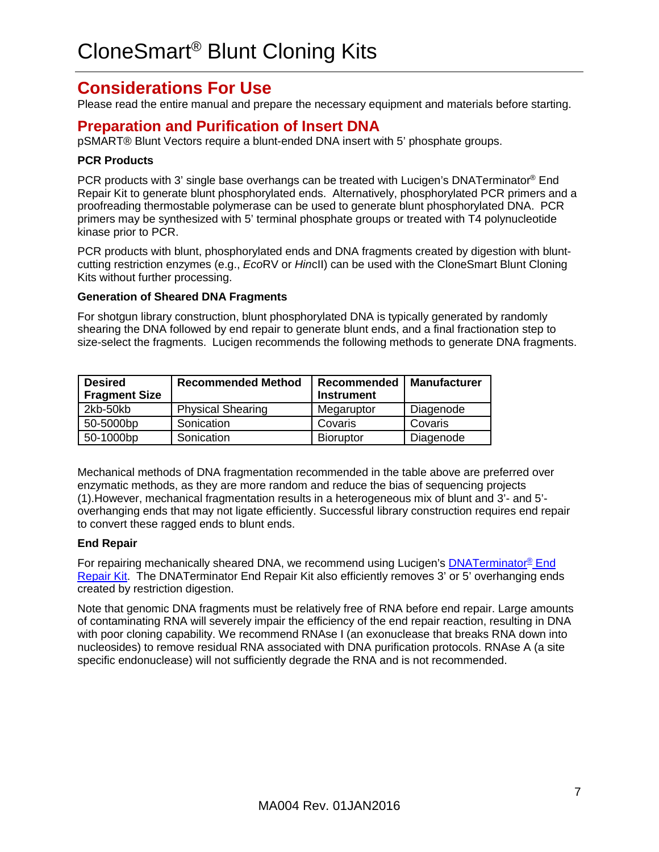## <span id="page-6-0"></span>**Considerations For Use**

Please read the entire manual and prepare the necessary equipment and materials before starting.

#### **Preparation and Purification of Insert DNA**

pSMART® Blunt Vectors require a blunt-ended DNA insert with 5' phosphate groups.

#### **PCR Products**

PCR products with 3' single base overhangs can be treated with Lucigen's DNATerminator® End Repair Kit to generate blunt phosphorylated ends. Alternatively, phosphorylated PCR primers and a proofreading thermostable polymerase can be used to generate blunt phosphorylated DNA. PCR primers may be synthesized with 5' terminal phosphate groups or treated with T4 polynucleotide kinase prior to PCR.

PCR products with blunt, phosphorylated ends and DNA fragments created by digestion with bluntcutting restriction enzymes (e.g., *Eco*RV or *Hin*cII) can be used with the CloneSmart Blunt Cloning Kits without further processing.

#### **Generation of Sheared DNA Fragments**

For shotgun library construction, blunt phosphorylated DNA is typically generated by randomly shearing the DNA followed by end repair to generate blunt ends, and a final fractionation step to size-select the fragments. Lucigen recommends the following methods to generate DNA fragments.

| <b>Desired</b>       | <b>Recommended Method</b> | <b>Recommended</b> | <b>Manufacturer</b> |
|----------------------|---------------------------|--------------------|---------------------|
| <b>Fragment Size</b> |                           | <b>Instrument</b>  |                     |
| 2kb-50kb             | <b>Physical Shearing</b>  | Megaruptor         | Diagenode           |
| 50-5000bp            | Sonication                | Covaris            | Covaris             |
| 50-1000bp            | Sonication                | <b>Bioruptor</b>   | Diagenode           |

Mechanical methods of DNA fragmentation recommended in the table above are preferred over enzymatic methods, as they are more random and reduce the bias of sequencing projects (1).However, mechanical fragmentation results in a heterogeneous mix of blunt and 3'- and 5' overhanging ends that may not ligate efficiently. Successful library construction requires end repair to convert these ragged ends to blunt ends.

#### **End Repair**

For repairing mechanically sheared DNA, we recommend using Lucigen's [DNATerminator®](http://www.lucigen.com/DNATerminator-End-Repair-Kit/) End [Repair Kit.](http://www.lucigen.com/DNATerminator-End-Repair-Kit/) The DNATerminator End Repair Kit also efficiently removes 3' or 5' overhanging ends created by restriction digestion.

Note that genomic DNA fragments must be relatively free of RNA before end repair. Large amounts of contaminating RNA will severely impair the efficiency of the end repair reaction, resulting in DNA with poor cloning capability. We recommend RNAse I (an exonuclease that breaks RNA down into nucleosides) to remove residual RNA associated with DNA purification protocols. RNAse A (a site specific endonuclease) will not sufficiently degrade the RNA and is not recommended.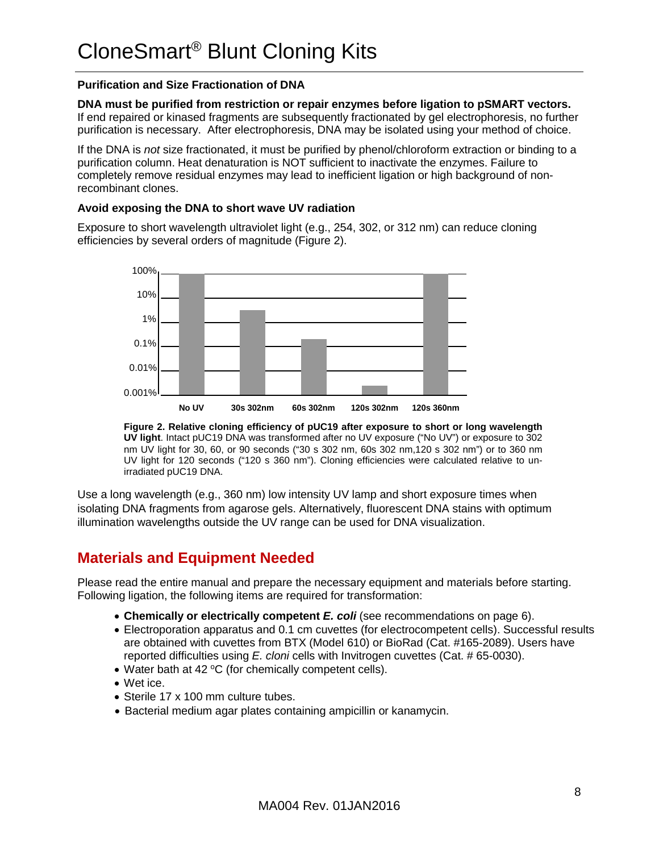#### **Purification and Size Fractionation of DNA**

**DNA must be purified from restriction or repair enzymes before ligation to pSMART vectors.**  If end repaired or kinased fragments are subsequently fractionated by gel electrophoresis, no further purification is necessary. After electrophoresis, DNA may be isolated using your method of choice.

If the DNA is *not* size fractionated, it must be purified by phenol/chloroform extraction or binding to a purification column. Heat denaturation is NOT sufficient to inactivate the enzymes. Failure to completely remove residual enzymes may lead to inefficient ligation or high background of nonrecombinant clones.

#### **Avoid exposing the DNA to short wave UV radiation**

Exposure to short wavelength ultraviolet light (e.g., 254, 302, or 312 nm) can reduce cloning efficiencies by several orders of magnitude (Figure 2).



**Figure 2. Relative cloning efficiency of pUC19 after exposure to short or long wavelength UV light**. Intact pUC19 DNA was transformed after no UV exposure ("No UV") or exposure to 302 nm UV light for 30, 60, or 90 seconds ("30 s 302 nm, 60s 302 nm,120 s 302 nm") or to 360 nm UV light for 120 seconds ("120 s 360 nm"). Cloning efficiencies were calculated relative to unirradiated pUC19 DNA.

Use a long wavelength (e.g., 360 nm) low intensity UV lamp and short exposure times when isolating DNA fragments from agarose gels. Alternatively, fluorescent DNA stains with optimum illumination wavelengths outside the UV range can be used for DNA visualization.

## **Materials and Equipment Needed**

Please read the entire manual and prepare the necessary equipment and materials before starting. Following ligation, the following items are required for transformation:

- **Chemically or electrically competent** *E. coli* (see recommendations on page 6).
- Electroporation apparatus and 0.1 cm cuvettes (for electrocompetent cells). Successful results are obtained with cuvettes from BTX (Model 610) or BioRad (Cat. #165-2089). Users have reported difficulties using *E. cloni* cells with Invitrogen cuvettes (Cat. # 65-0030).
- Water bath at 42 °C (for chemically competent cells).
- Wet ice.
- Sterile 17 x 100 mm culture tubes.
- Bacterial medium agar plates containing ampicillin or kanamycin.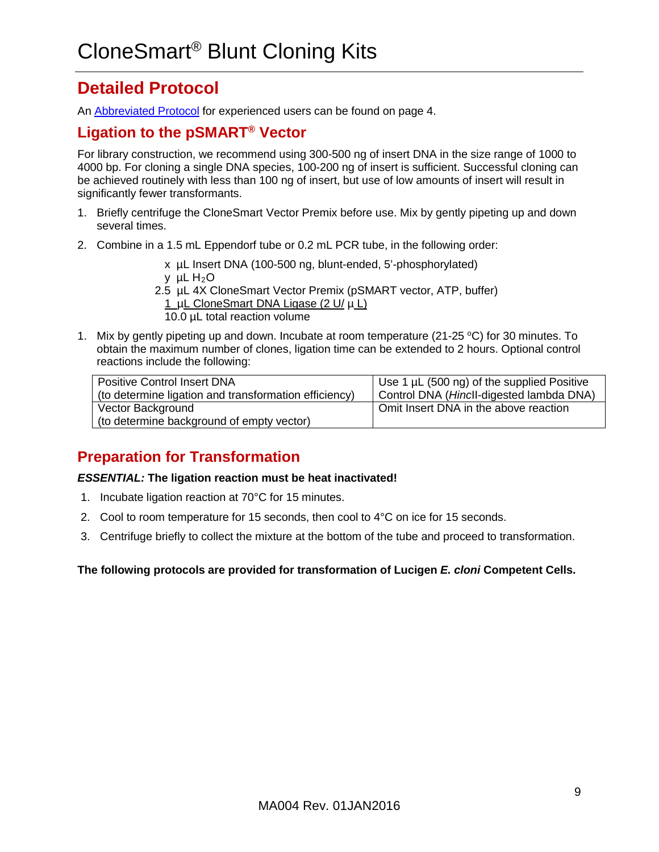## **Detailed Protocol**

An [Abbreviated Protocol](#page-3-0) for experienced users can be found on page 4.

### <span id="page-8-0"></span>**Ligation to the pSMART® Vector**

For library construction, we recommend using 300-500 ng of insert DNA in the size range of 1000 to 4000 bp. For cloning a single DNA species, 100-200 ng of insert is sufficient. Successful cloning can be achieved routinely with less than 100 ng of insert, but use of low amounts of insert will result in significantly fewer transformants.

- 1. Briefly centrifuge the CloneSmart Vector Premix before use. Mix by gently pipeting up and down several times.
- 2. Combine in a 1.5 mL Eppendorf tube or 0.2 mL PCR tube, in the following order:
	- x µL Insert DNA (100-500 ng, blunt-ended, 5'-phosphorylated)
	- y  $\mu$ L H<sub>2</sub>O
	- 2.5 µL 4X CloneSmart Vector Premix (pSMART vector, ATP, buffer) 1 µL CloneSmart DNA Ligase (2 U/ µ L) 10.0 µL total reaction volume
- 1. Mix by gently pipeting up and down. Incubate at room temperature (21-25  $\degree$ C) for 30 minutes. To obtain the maximum number of clones, ligation time can be extended to 2 hours. Optional control reactions include the following:

| <b>Positive Control Insert DNA</b>                    | Use 1 µL (500 ng) of the supplied Positive |
|-------------------------------------------------------|--------------------------------------------|
| (to determine ligation and transformation efficiency) | Control DNA (Hincll-digested lambda DNA)   |
| Vector Background                                     | Omit Insert DNA in the above reaction      |
| (to determine background of empty vector)             |                                            |

## <span id="page-8-1"></span>**Preparation for Transformation**

#### *ESSENTIAL:* **The ligation reaction must be heat inactivated!**

- 1. Incubate ligation reaction at 70°C for 15 minutes.
- 2. Cool to room temperature for 15 seconds, then cool to 4°C on ice for 15 seconds.
- 3. Centrifuge briefly to collect the mixture at the bottom of the tube and proceed to transformation.

#### <span id="page-8-2"></span>**The following protocols are provided for transformation of Lucigen** *E. cloni* **Competent Cells.**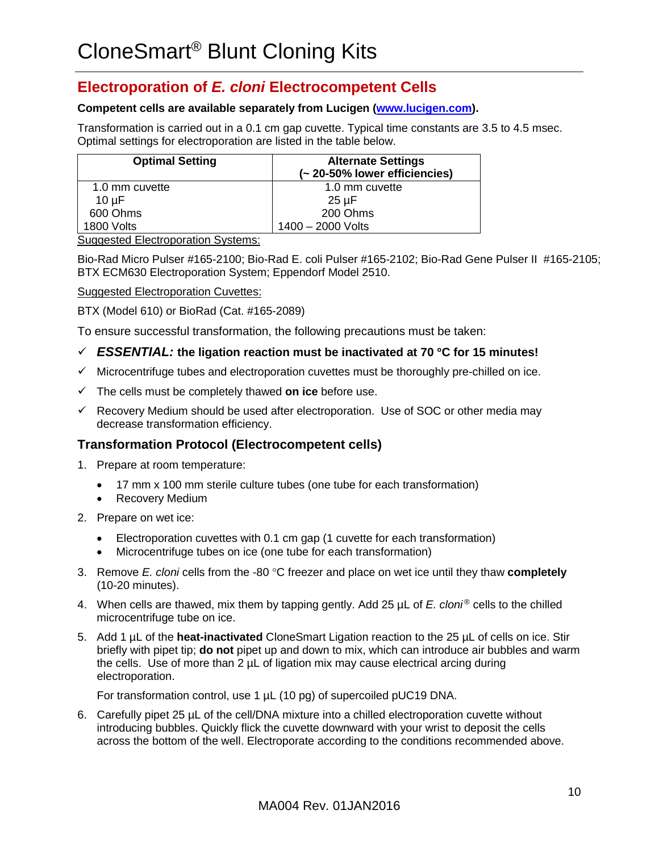## **Electroporation of** *E. cloni* **Electrocompetent Cells**

#### **Competent cells are available separately from Lucigen [\(www.lucigen.com\)](http://www.lucigen.com/).**

Transformation is carried out in a 0.1 cm gap cuvette. Typical time constants are 3.5 to 4.5 msec. Optimal settings for electroporation are listed in the table below.

| <b>Optimal Setting</b> | <b>Alternate Settings</b><br>(~20-50% lower efficiencies) |
|------------------------|-----------------------------------------------------------|
| 1.0 mm cuvette         | 1.0 mm cuvette                                            |
| $10 \mu F$             | $25 \mu F$                                                |
| 600 Ohms               | 200 Ohms                                                  |
| 1800 Volts             | 1400 - 2000 Volts                                         |

Suggested Electroporation Systems:

Bio-Rad Micro Pulser #165-2100; Bio-Rad E. coli Pulser #165-2102; Bio-Rad Gene Pulser II #165-2105; BTX ECM630 Electroporation System; Eppendorf Model 2510.

Suggested Electroporation Cuvettes:

BTX (Model 610) or BioRad (Cat. #165-2089)

To ensure successful transformation, the following precautions must be taken:

#### *ESSENTIAL:* **the ligation reaction must be inactivated at 70** °**C for 15 minutes!**

- $\checkmark$  Microcentrifuge tubes and electroporation cuvettes must be thoroughly pre-chilled on ice.
- The cells must be completely thawed **on ice** before use.
- $\checkmark$  Recovery Medium should be used after electroporation. Use of SOC or other media may decrease transformation efficiency.

#### **Transformation Protocol (Electrocompetent cells)**

- 1. Prepare at room temperature:
	- 17 mm x 100 mm sterile culture tubes (one tube for each transformation)
	- Recovery Medium
- 2. Prepare on wet ice:
	- Electroporation cuvettes with 0.1 cm gap (1 cuvette for each transformation)
	- Microcentrifuge tubes on ice (one tube for each transformation)
- 3. Remove *E. cloni* cells from the -80 °C freezer and place on wet ice until they thaw **completely** (10-20 minutes).
- 4. When cells are thawed, mix them by tapping gently. Add 25 µL of *E. cloni ®* cells to the chilled microcentrifuge tube on ice.
- 5. Add 1 µL of the **heat-inactivated** CloneSmart Ligation reaction to the 25 µL of cells on ice. Stir briefly with pipet tip; **do not** pipet up and down to mix, which can introduce air bubbles and warm the cells. Use of more than  $2 \mu L$  of ligation mix may cause electrical arcing during electroporation.

For transformation control, use 1 µL (10 pg) of supercoiled pUC19 DNA.

6. Carefully pipet 25 µL of the cell/DNA mixture into a chilled electroporation cuvette without introducing bubbles. Quickly flick the cuvette downward with your wrist to deposit the cells across the bottom of the well. Electroporate according to the conditions recommended above.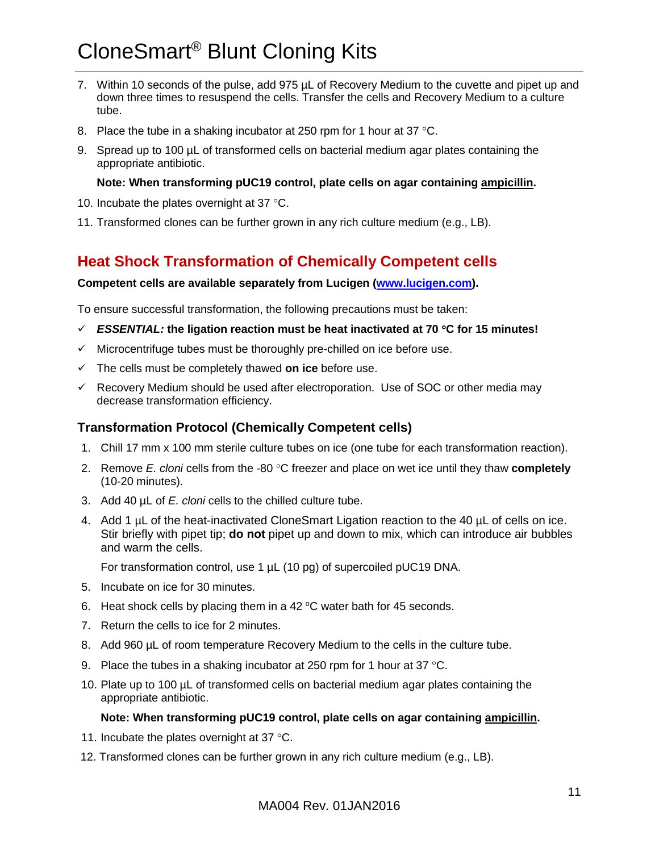# CloneSmart® Blunt Cloning Kits

- 7. Within 10 seconds of the pulse, add 975 µL of Recovery Medium to the cuvette and pipet up and down three times to resuspend the cells. Transfer the cells and Recovery Medium to a culture tube.
- 8. Place the tube in a shaking incubator at 250 rpm for 1 hour at 37 °C.
- 9. Spread up to 100 µL of transformed cells on bacterial medium agar plates containing the appropriate antibiotic.

#### **Note: When transforming pUC19 control, plate cells on agar containing ampicillin.**

- 10. Incubate the plates overnight at 37 °C.
- 11. Transformed clones can be further grown in any rich culture medium (e.g., LB).

### <span id="page-10-0"></span>**Heat Shock Transformation of Chemically Competent cells**

#### **Competent cells are available separately from Lucigen [\(www.lucigen.com\)](http://www.lucigen.com/).**

To ensure successful transformation, the following precautions must be taken:

- *ESSENTIAL:* **the ligation reaction must be heat inactivated at 70** °**C for 15 minutes!**
- $\checkmark$  Microcentrifuge tubes must be thoroughly pre-chilled on ice before use.
- The cells must be completely thawed **on ice** before use.
- $\checkmark$  Recovery Medium should be used after electroporation. Use of SOC or other media may decrease transformation efficiency.

#### **Transformation Protocol (Chemically Competent cells)**

- 1. Chill 17 mm x 100 mm sterile culture tubes on ice (one tube for each transformation reaction).
- 2. Remove *E. cloni* cells from the -80 °C freezer and place on wet ice until they thaw **completely** (10-20 minutes).
- 3. Add 40 µL of *E. cloni* cells to the chilled culture tube.
- 4. Add 1 µL of the heat-inactivated CloneSmart Ligation reaction to the 40 µL of cells on ice. Stir briefly with pipet tip; **do not** pipet up and down to mix, which can introduce air bubbles and warm the cells.

For transformation control, use 1  $\mu$ L (10 pg) of supercoiled pUC19 DNA.

- 5. Incubate on ice for 30 minutes.
- 6. Heat shock cells by placing them in a 42  $\degree$ C water bath for 45 seconds.
- 7. Return the cells to ice for 2 minutes.
- 8. Add 960 µL of room temperature Recovery Medium to the cells in the culture tube.
- 9. Place the tubes in a shaking incubator at 250 rpm for 1 hour at 37  $^{\circ}$ C.
- 10. Plate up to 100 µL of transformed cells on bacterial medium agar plates containing the appropriate antibiotic.

#### **Note: When transforming pUC19 control, plate cells on agar containing ampicillin.**

- 11. Incubate the plates overnight at 37 °C.
- 12. Transformed clones can be further grown in any rich culture medium (e.g., LB).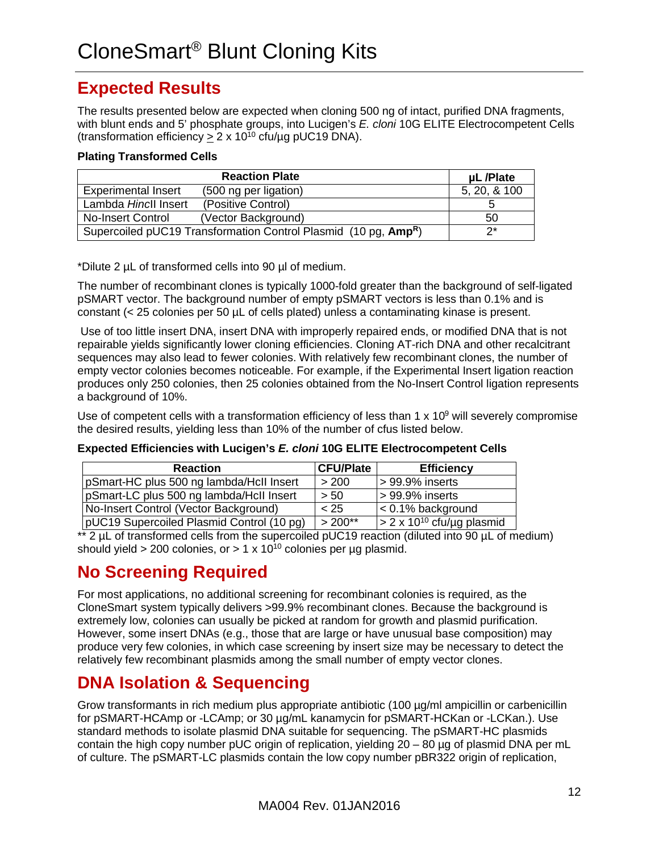## <span id="page-11-0"></span>**Expected Results**

The results presented below are expected when cloning 500 ng of intact, purified DNA fragments, with blunt ends and 5' phosphate groups, into Lucigen's *E. cloni* 10G ELITE Electrocompetent Cells (transformation efficiency  $> 2 \times 10^{10}$  cfu/µg pUC19 DNA).

#### **Plating Transformed Cells**

|                            | <b>Reaction Plate</b>                                                       | uL /Plate    |
|----------------------------|-----------------------------------------------------------------------------|--------------|
| <b>Experimental Insert</b> | (500 ng per ligation)                                                       | 5, 20, & 100 |
| Lambda Hincll Insert       | (Positive Control)                                                          |              |
| No-Insert Control          | (Vector Background)                                                         | 50           |
|                            | Supercoiled pUC19 Transformation Control Plasmid (10 pg, Amp <sup>R</sup> ) | つ*           |

\*Dilute 2 µL of transformed cells into 90 µl of medium.

The number of recombinant clones is typically 1000-fold greater than the background of self-ligated pSMART vector. The background number of empty pSMART vectors is less than 0.1% and is constant (< 25 colonies per 50 µL of cells plated) unless a contaminating kinase is present.

Use of too little insert DNA, insert DNA with improperly repaired ends, or modified DNA that is not repairable yields significantly lower cloning efficiencies. Cloning AT-rich DNA and other recalcitrant sequences may also lead to fewer colonies. With relatively few recombinant clones, the number of empty vector colonies becomes noticeable. For example, if the Experimental Insert ligation reaction produces only 250 colonies, then 25 colonies obtained from the No-Insert Control ligation represents a background of 10%.

Use of competent cells with a transformation efficiency of less than 1  $\times$  10<sup>9</sup> will severely compromise the desired results, yielding less than 10% of the number of cfus listed below.

**Expected Efficiencies with Lucigen's** *E. cloni* **10G ELITE Electrocompetent Cells**

| <b>Reaction</b>                           | <b>CFU/Plate</b> | <b>Efficiency</b>                        |
|-------------------------------------------|------------------|------------------------------------------|
| pSmart-HC plus 500 ng lambda/HcII Insert  | > 200            | $> 99.9\%$ inserts                       |
| pSmart-LC plus 500 ng lambda/Hcll Insert  | > 50             | $> 99.9\%$ inserts                       |
| No-Insert Control (Vector Background)     | < 25             | $\approx$ 0.1% background                |
| pUC19 Supercoiled Plasmid Control (10 pg) | $>200**$         | $\sqrt{2 \times 10^{10}}$ cfu/µg plasmid |

\*\* 2  $\mu$ L of transformed cells from the supercoiled pUC19 reaction (diluted into 90  $\mu$ L of medium) should yield > 200 colonies, or > 1 x 10<sup>10</sup> colonies per µg plasmid.

## <span id="page-11-1"></span>**No Screening Required**

For most applications, no additional screening for recombinant colonies is required, as the CloneSmart system typically delivers >99.9% recombinant clones. Because the background is extremely low, colonies can usually be picked at random for growth and plasmid purification. However, some insert DNAs (e.g., those that are large or have unusual base composition) may produce very few colonies, in which case screening by insert size may be necessary to detect the relatively few recombinant plasmids among the small number of empty vector clones.

## <span id="page-11-2"></span>**DNA Isolation & Sequencing**

Grow transformants in rich medium plus appropriate antibiotic (100 µg/ml ampicillin or carbenicillin for pSMART-HCAmp or -LCAmp; or 30 µg/mL kanamycin for pSMART-HCKan or -LCKan.). Use standard methods to isolate plasmid DNA suitable for sequencing. The pSMART-HC plasmids contain the high copy number pUC origin of replication, yielding  $20 - 80$  ug of plasmid DNA per mL of culture. The pSMART-LC plasmids contain the low copy number pBR322 origin of replication,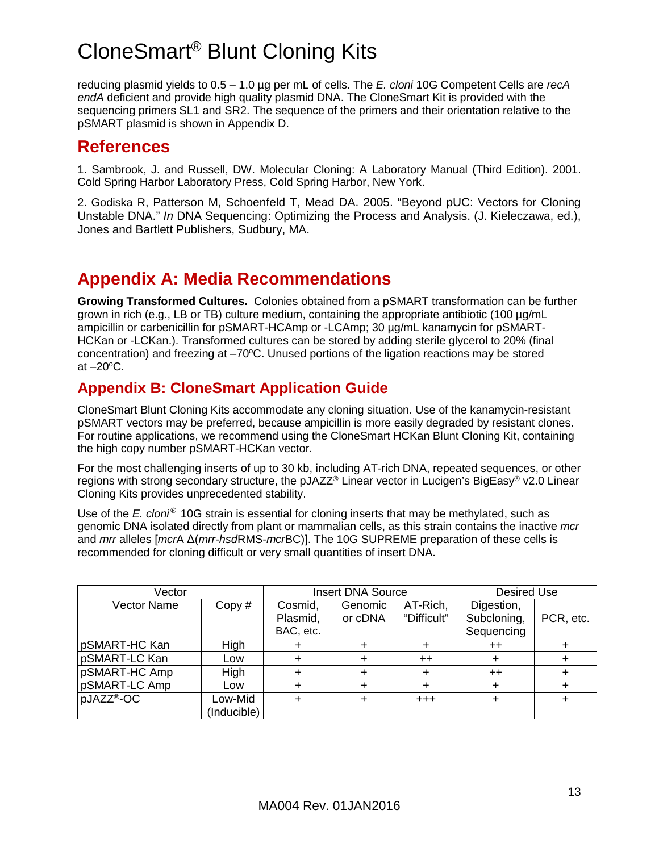# CloneSmart® Blunt Cloning Kits

reducing plasmid yields to 0.5 – 1.0 µg per mL of cells. The *E. cloni* 10G Competent Cells are *recA endA* deficient and provide high quality plasmid DNA. The CloneSmart Kit is provided with the sequencing primers SL1 and SR2. The sequence of the primers and their orientation relative to the pSMART plasmid is shown in Appendix D.

## <span id="page-12-0"></span>**References**

1. Sambrook, J. and Russell, DW. Molecular Cloning: A Laboratory Manual (Third Edition). 2001. Cold Spring Harbor Laboratory Press, Cold Spring Harbor, New York.

2. Godiska R, Patterson M, Schoenfeld T, Mead DA. 2005. "Beyond pUC: Vectors for Cloning Unstable DNA." *In* DNA Sequencing: Optimizing the Process and Analysis. (J. Kieleczawa, ed.), Jones and Bartlett Publishers, Sudbury, MA.

## <span id="page-12-1"></span>**Appendix A: Media Recommendations**

**Growing Transformed Cultures.** Colonies obtained from a pSMART transformation can be further grown in rich (e.g., LB or TB) culture medium, containing the appropriate antibiotic (100 µg/mL ampicillin or carbenicillin for pSMART-HCAmp or -LCAmp; 30 µg/mL kanamycin for pSMART-HCKan or -LCKan.). Transformed cultures can be stored by adding sterile glycerol to 20% (final concentration) and freezing at  $-70^{\circ}$ C. Unused portions of the ligation reactions may be stored at  $-20$ <sup>o</sup>C.

## <span id="page-12-2"></span>**Appendix B: CloneSmart Application Guide**

CloneSmart Blunt Cloning Kits accommodate any cloning situation. Use of the kanamycin-resistant pSMART vectors may be preferred, because ampicillin is more easily degraded by resistant clones. For routine applications, we recommend using the CloneSmart HCKan Blunt Cloning Kit, containing the high copy number pSMART-HCKan vector.

For the most challenging inserts of up to 30 kb, including AT-rich DNA, repeated sequences, or other regions with strong secondary structure, the pJAZZ® Linear vector in Lucigen's BigEasy® v2.0 Linear Cloning Kits provides unprecedented stability.

Use of the *E. cloni ®* 10G strain is essential for cloning inserts that may be methylated, such as genomic DNA isolated directly from plant or mammalian cells, as this strain contains the inactive *mcr* and *mrr* alleles [*mcr*A Δ(*mrr*-*hsd*RMS-*mcr*BC)]. The 10G SUPREME preparation of these cells is recommended for cloning difficult or very small quantities of insert DNA.

| Vector                 |                        |                                  | <b>Insert DNA Source</b> |                         | <b>Desired Use</b>                      |           |
|------------------------|------------------------|----------------------------------|--------------------------|-------------------------|-----------------------------------------|-----------|
| <b>Vector Name</b>     | Copy #                 | Cosmid,<br>Plasmid,<br>BAC, etc. | Genomic<br>or cDNA       | AT-Rich,<br>"Difficult" | Digestion,<br>Subcloning,<br>Sequencing | PCR, etc. |
| pSMART-HC Kan          | High                   |                                  |                          |                         | $^{++}$                                 |           |
| pSMART-LC Kan          | Low                    |                                  |                          | $++$                    |                                         |           |
| pSMART-HC Amp          | High                   |                                  |                          | ╋                       | $++$                                    |           |
| pSMART-LC Amp          | Low                    |                                  |                          |                         |                                         |           |
| pJAZZ <sup>®</sup> -OC | Low-Mid<br>(Inducible) |                                  |                          | $+ + +$                 |                                         |           |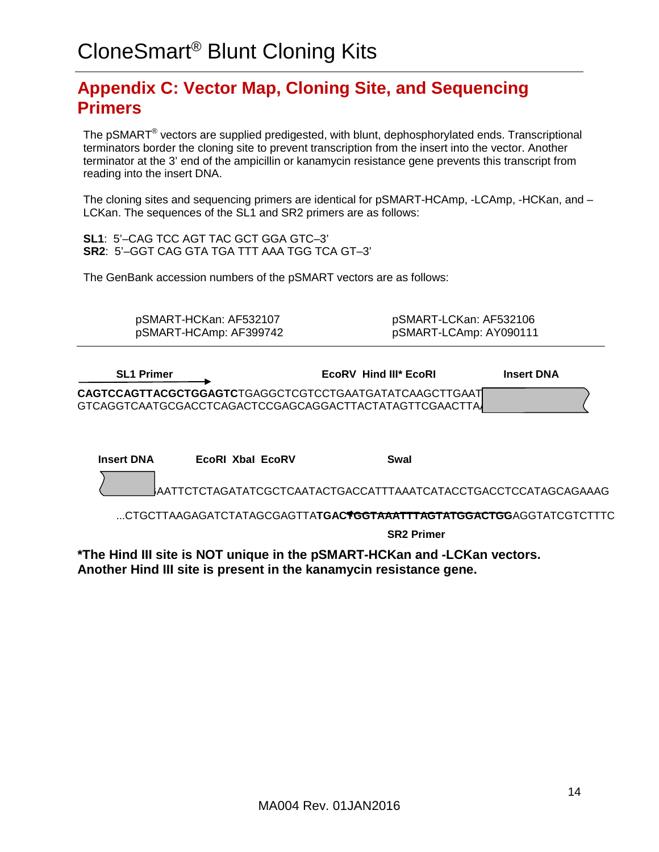## <span id="page-13-0"></span>**Appendix C: Vector Map, Cloning Site, and Sequencing Primers**

The pSMART*®* vectors are supplied predigested, with blunt, dephosphorylated ends. Transcriptional terminators border the cloning site to prevent transcription from the insert into the vector. Another terminator at the 3' end of the ampicillin or kanamycin resistance gene prevents this transcript from reading into the insert DNA.

The cloning sites and sequencing primers are identical for pSMART-HCAmp, -LCAmp, -HCKan, and -LCKan. The sequences of the SL1 and SR2 primers are as follows:

**SL1**: 5'–CAG TCC AGT TAC GCT GGA GTC–3' **SR2**: 5'–GGT CAG GTA TGA TTT AAA TGG TCA GT–3'

The GenBank accession numbers of the pSMART vectors are as follows:

| pSMART-HCKan: AF532107 | pSMART-LCKan: AF532106 |
|------------------------|------------------------|
| pSMART-HCAmp: AF399742 | pSMART-LCAmp: AY090111 |

| <b>SL1 Primer</b> | EcoRV Hind III* EcoRL                                                                                             | <b>Insert DNA</b> |
|-------------------|-------------------------------------------------------------------------------------------------------------------|-------------------|
|                   | CAGTCCAGTTACGCTGGAGTCTGAGGCTCGTCCTGAATGATATCAAGCTTGAAT<br>GTCAGGTCAATGCGACCTCAGACTCCGAGCAGGACTTACTATAGTTCGAACTTAJ |                   |

| <b>Insert DNA</b> | EcoRI Xbal EcoRV                                                                      | Swal |  |
|-------------------|---------------------------------------------------------------------------------------|------|--|
|                   | AATTCTCTAGATATCGCTCAATACTGACCATTTAAATCATACCTGACCTCCATAGCAGAAAG                        |      |  |
|                   | CTGCTTAAGAGATCTATAGCGAGTTA <b>TGAC<del>YGGTAAATTTAGTATGGACTGG</del>AGGTATCGTCTTTC</b> |      |  |

**SR2 Primer**

<span id="page-13-1"></span>**\*The Hind III site is NOT unique in the pSMART-HCKan and -LCKan vectors. Another Hind III site is present in the kanamycin resistance gene.**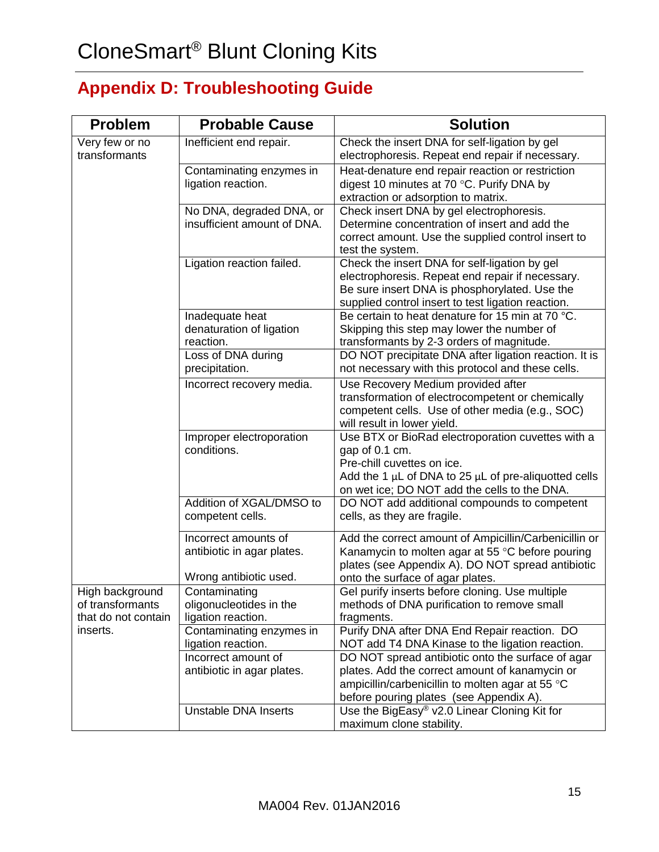## **Appendix D: Troubleshooting Guide**

| <b>Problem</b>                                             | <b>Probable Cause</b>                                                        | <b>Solution</b>                                                                                                                                                                                                     |
|------------------------------------------------------------|------------------------------------------------------------------------------|---------------------------------------------------------------------------------------------------------------------------------------------------------------------------------------------------------------------|
| Very few or no<br>transformants                            | Inefficient end repair.                                                      | Check the insert DNA for self-ligation by gel<br>electrophoresis. Repeat end repair if necessary.                                                                                                                   |
|                                                            | Contaminating enzymes in<br>ligation reaction.                               | Heat-denature end repair reaction or restriction<br>digest 10 minutes at 70 °C. Purify DNA by<br>extraction or adsorption to matrix.                                                                                |
|                                                            | No DNA, degraded DNA, or<br>insufficient amount of DNA.                      | Check insert DNA by gel electrophoresis.<br>Determine concentration of insert and add the<br>correct amount. Use the supplied control insert to<br>test the system.                                                 |
|                                                            | Ligation reaction failed.                                                    | Check the insert DNA for self-ligation by gel<br>electrophoresis. Repeat end repair if necessary.<br>Be sure insert DNA is phosphorylated. Use the<br>supplied control insert to test ligation reaction.            |
|                                                            | Inadequate heat<br>denaturation of ligation<br>reaction.                     | Be certain to heat denature for 15 min at 70 °C.<br>Skipping this step may lower the number of<br>transformants by 2-3 orders of magnitude.                                                                         |
|                                                            | Loss of DNA during<br>precipitation.                                         | DO NOT precipitate DNA after ligation reaction. It is<br>not necessary with this protocol and these cells.                                                                                                          |
|                                                            | Incorrect recovery media.                                                    | Use Recovery Medium provided after<br>transformation of electrocompetent or chemically<br>competent cells. Use of other media (e.g., SOC)<br>will result in lower yield.                                            |
|                                                            | Improper electroporation<br>conditions.                                      | Use BTX or BioRad electroporation cuvettes with a<br>gap of 0.1 cm.<br>Pre-chill cuvettes on ice.<br>Add the 1 $\mu$ L of DNA to 25 $\mu$ L of pre-aliquotted cells<br>on wet ice; DO NOT add the cells to the DNA. |
|                                                            | Addition of XGAL/DMSO to<br>competent cells.                                 | DO NOT add additional compounds to competent<br>cells, as they are fragile.                                                                                                                                         |
|                                                            | Incorrect amounts of<br>antibiotic in agar plates.<br>Wrong antibiotic used. | Add the correct amount of Ampicillin/Carbenicillin or<br>Kanamycin to molten agar at 55 °C before pouring<br>plates (see Appendix A). DO NOT spread antibiotic<br>onto the surface of agar plates.                  |
| High background<br>of transformants<br>that do not contain | Contaminating<br>oligonucleotides in the<br>ligation reaction.               | Gel purify inserts before cloning. Use multiple<br>methods of DNA purification to remove small<br>fragments.                                                                                                        |
| inserts.                                                   | Contaminating enzymes in<br>ligation reaction.                               | Purify DNA after DNA End Repair reaction. DO<br>NOT add T4 DNA Kinase to the ligation reaction.                                                                                                                     |
|                                                            | Incorrect amount of<br>antibiotic in agar plates.                            | DO NOT spread antibiotic onto the surface of agar<br>plates. Add the correct amount of kanamycin or<br>ampicillin/carbenicillin to molten agar at 55 °C<br>before pouring plates (see Appendix A).                  |
|                                                            | <b>Unstable DNA Inserts</b>                                                  | Use the BigEasy® v2.0 Linear Cloning Kit for<br>maximum clone stability.                                                                                                                                            |